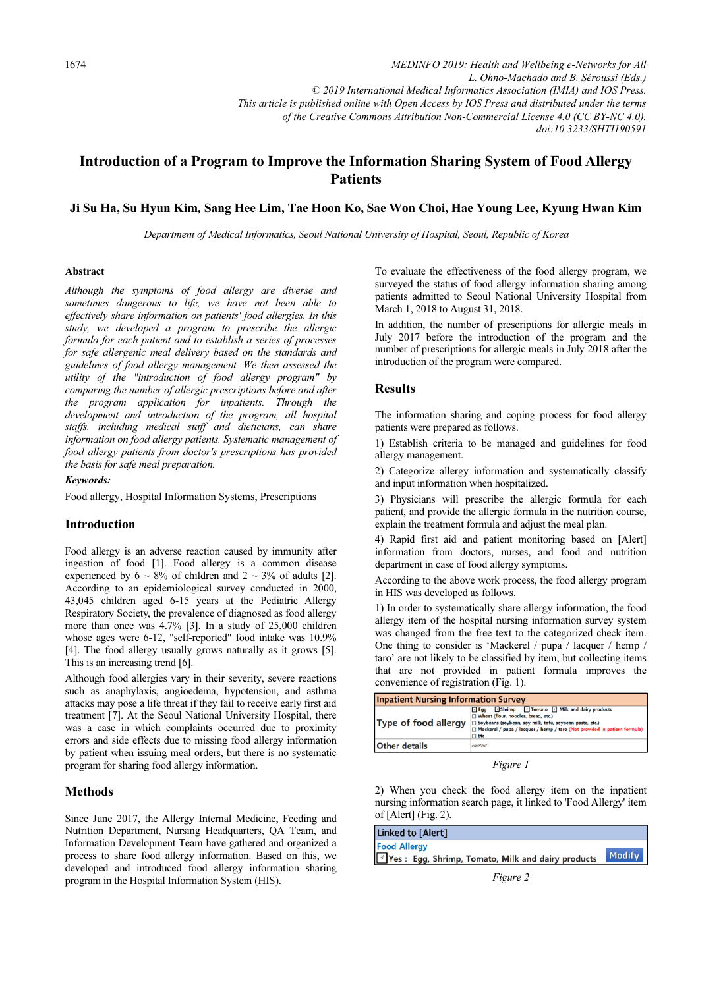*MEDINFO 2019: Health and Wellbeing e-Networks for All L. Ohno-Machado and B. Séroussi (Eds.) © 2019 International Medical Informatics Association (IMIA) and IOS Press. This article is published online with Open Access by IOS Press and distributed under the terms of the Creative Commons Attribution Non-Commercial License 4.0 (CC BY-NC 4.0). doi:10.3233/SHTI190591*

# Introduction of a Program to Improve the Information Sharing System of Food Allergy Patients

# Ji Su Ha, Su Hyun Kim, Sang Hee Lim, Tae Hoon Ko, Sae Won Choi, Hae Young Lee, Kyung Hwan Kim

Department of Medical Informatics, Seoul National University of Hospital, Seoul, Republic of Korea

#### Abstract

Although the symptoms of food allergy are diverse and sometimes dangerous to life, we have not been able to effectively share information on patients' food allergies. In this study, we developed a program to prescribe the allergic formula for each patient and to establish a series of processes for safe allergenic meal delivery based on the standards and guidelines of food allergy management. We then assessed the utility of the "introduction of food allergy program" by comparing the number of allergic prescriptions before and after the program application for inpatients. Through the development and introduction of the program, all hospital staffs, including medical staff and dieticians, can share information on food allergy patients. Systematic management of food allergy patients from doctor's prescriptions has provided the basis for safe meal preparation.

#### Keywords:

Food allergy, Hospital Information Systems, Prescriptions

### Introduction

Food allergy is an adverse reaction caused by immunity after ingestion of food [1]. Food allergy is a common disease experienced by  $6 \sim 8\%$  of children and  $2 \sim 3\%$  of adults [2]. According to an epidemiological survey conducted in 2000, 43,045 children aged 6-15 years at the Pediatric Allergy Respiratory Society, the prevalence of diagnosed as food allergy more than once was 4.7% [3]. In a study of 25,000 children whose ages were 6-12, "self-reported" food intake was 10.9% [4]. The food allergy usually grows naturally as it grows [5]. This is an increasing trend [6].

Although food allergies vary in their severity, severe reactions such as anaphylaxis, angioedema, hypotension, and asthma attacks may pose a life threat if they fail to receive early first aid treatment [7]. At the Seoul National University Hospital, there was a case in which complaints occurred due to proximity errors and side effects due to missing food allergy information by patient when issuing meal orders, but there is no systematic program for sharing food allergy information.

#### Methods

Since June 2017, the Allergy Internal Medicine, Feeding and Nutrition Department, Nursing Headquarters, QA Team, and Information Development Team have gathered and organized a process to share food allergy information. Based on this, we developed and introduced food allergy information sharing program in the Hospital Information System (HIS).

To evaluate the effectiveness of the food allergy program, we surveyed the status of food allergy information sharing among patients admitted to Seoul National University Hospital from March 1, 2018 to August 31, 2018.

In addition, the number of prescriptions for allergic meals in July 2017 before the introduction of the program and the number of prescriptions for allergic meals in July 2018 after the introduction of the program were compared.

#### **Results**

The information sharing and coping process for food allergy patients were prepared as follows.

1) Establish criteria to be managed and guidelines for food allergy management.

2) Categorize allergy information and systematically classify and input information when hospitalized.

3) Physicians will prescribe the allergic formula for each patient, and provide the allergic formula in the nutrition course, explain the treatment formula and adjust the meal plan.

4) Rapid first aid and patient monitoring based on [Alert] information from doctors, nurses, and food and nutrition department in case of food allergy symptoms.

According to the above work process, the food allergy program in HIS was developed as follows.

1) In order to systematically share allergy information, the food allergy item of the hospital nursing information survey system was changed from the free text to the categorized check item. One thing to consider is 'Mackerel / pupa / lacquer / hemp / taro' are not likely to be classified by item, but collecting items that are not provided in patient formula improves the convenience of registration (Fig. 1).

| <b>Inpatient Nursing Information Survey</b> |                                                                                                                                                                                                                                                 |  |
|---------------------------------------------|-------------------------------------------------------------------------------------------------------------------------------------------------------------------------------------------------------------------------------------------------|--|
| Type of food allergy                        | Eqq Shrimp Tomato 1 Milk and dairy products<br>Wheat (flour, noodles, bread, etc.)<br>Soybeans (soybean, soy milk, tofu, soybean paste, etc.)<br>$\Box$ Mackerel / pupa / lacquer / hemp / taro (Not provided in patient formula)<br>$\Box$ Etc |  |
| <b>Other details</b>                        | Freetext                                                                                                                                                                                                                                        |  |

Figure 1

2) When you check the food allergy item on the inpatient nursing information search page, it linked to 'Food Allergy' item of [Alert] (Fig. 2).

| Linked to [Alert]                                                           |               |
|-----------------------------------------------------------------------------|---------------|
| <b>Food Allergy</b><br>√ Yes : Egg, Shrimp, Tomato, Milk and dairy products | <b>Modify</b> |

Figure 2